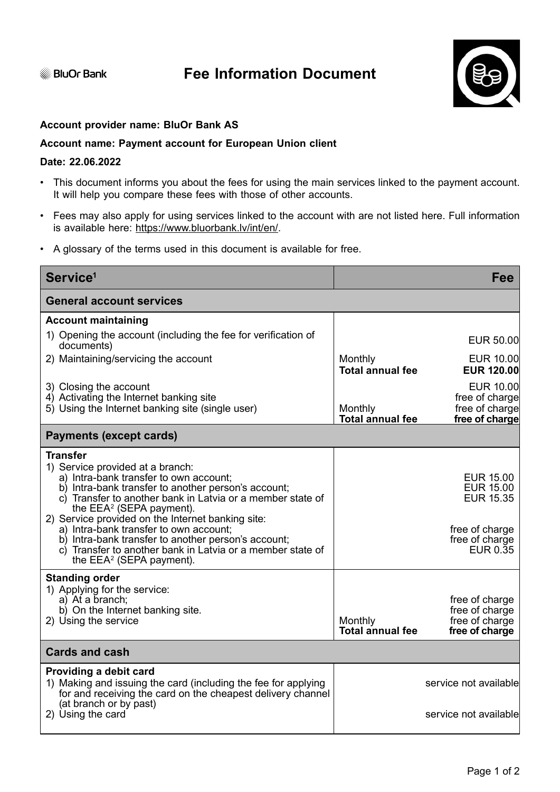**BluOr Bank** 



## **Account provider name: BluOr Bank AS**

## **Account name: Payment account for European Union client**

## **Date: 22.06.2022**

- This document informs you about the fees for using the main services linked to the payment account. It will help you compare these fees with those of other accounts.
- Fees may also apply for using services linked to the account with are not listed here. Full information is available here: https://www.bluorbank.lv/int/en/.
- A glossary of the terms used in this document is available for free.

| Service <sup>1</sup>                                                                                                                                                                                                                                                                                                                                                                                                                                                                                          |                                    | <b>Fee</b>                                                                                               |  |
|---------------------------------------------------------------------------------------------------------------------------------------------------------------------------------------------------------------------------------------------------------------------------------------------------------------------------------------------------------------------------------------------------------------------------------------------------------------------------------------------------------------|------------------------------------|----------------------------------------------------------------------------------------------------------|--|
| <b>General account services</b>                                                                                                                                                                                                                                                                                                                                                                                                                                                                               |                                    |                                                                                                          |  |
| <b>Account maintaining</b>                                                                                                                                                                                                                                                                                                                                                                                                                                                                                    |                                    |                                                                                                          |  |
| 1) Opening the account (including the fee for verification of<br>documents)                                                                                                                                                                                                                                                                                                                                                                                                                                   |                                    | EUR 50.00                                                                                                |  |
| 2) Maintaining/servicing the account                                                                                                                                                                                                                                                                                                                                                                                                                                                                          | Monthly<br><b>Total annual fee</b> | <b>EUR 10.00</b><br><b>EUR 120.00</b>                                                                    |  |
| 3) Closing the account<br>4) Activating the Internet banking site<br>5) Using the Internet banking site (single user)                                                                                                                                                                                                                                                                                                                                                                                         | Monthly<br><b>Total annual fee</b> | EUR 10.00<br>free of charge<br>free of charge<br>free of charge                                          |  |
| <b>Payments (except cards)</b>                                                                                                                                                                                                                                                                                                                                                                                                                                                                                |                                    |                                                                                                          |  |
| <b>Transfer</b><br>1) Service provided at a branch:<br>a) Intra-bank transfer to own account;<br>b) Intra-bank transfer to another person's account;<br>c) Transfer to another bank in Latvia or a member state of<br>the $EEA^2$ (SEPA payment).<br>2) Service provided on the Internet banking site:<br>a) Intra-bank transfer to own account;<br>b) Intra-bank transfer to another person's account;<br>c) Transfer to another bank in Latvia or a member state of<br>the EEA <sup>2</sup> (SEPA payment). |                                    | <b>EUR 15.00</b><br><b>EUR 15.00</b><br><b>EUR 15.35</b><br>free of charge<br>free of charge<br>EUR 0.35 |  |
| <b>Standing order</b><br>1) Applying for the service:<br>a) At a branch;<br>b) On the Internet banking site.<br>2) Using the service                                                                                                                                                                                                                                                                                                                                                                          | Monthly<br><b>Total annual fee</b> | free of charge<br>free of charge<br>free of charge<br>free of charge                                     |  |
| <b>Cards and cash</b>                                                                                                                                                                                                                                                                                                                                                                                                                                                                                         |                                    |                                                                                                          |  |
| Providing a debit card<br>1) Making and issuing the card (including the fee for applying<br>for and receiving the card on the cheapest delivery channel                                                                                                                                                                                                                                                                                                                                                       |                                    | service not available                                                                                    |  |
| (at branch or by past)<br>2) Using the card                                                                                                                                                                                                                                                                                                                                                                                                                                                                   |                                    | service not available                                                                                    |  |